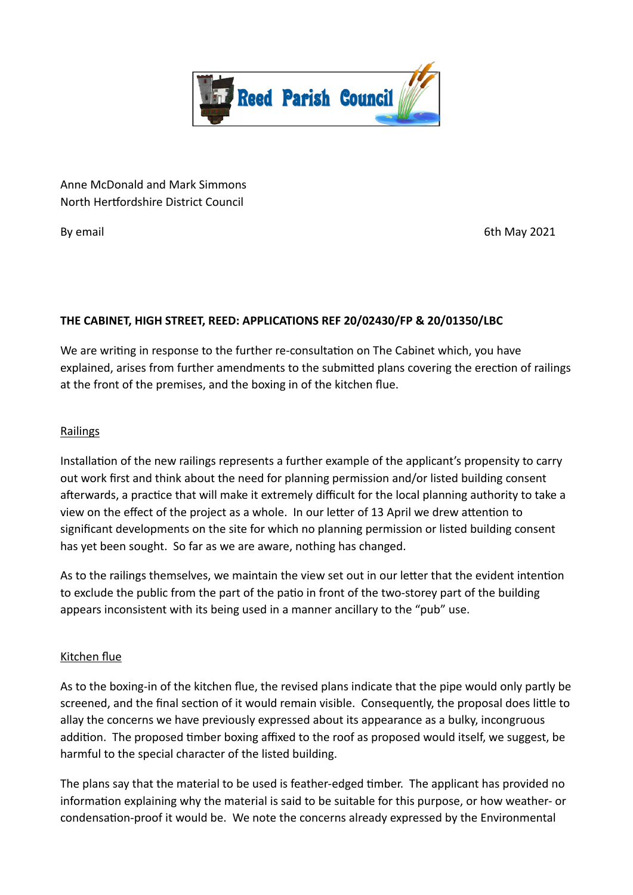

Anne McDonald and Mark Simmons North Hertfordshire District Council

By email **6th May 2021** 

## **THE CABINET, HIGH STREET, REED: APPLICATIONS REF 20/02430/FP & 20/01350/LBC**

We are writing in response to the further re-consultation on The Cabinet which, you have explained, arises from further amendments to the submitted plans covering the erection of railings at the front of the premises, and the boxing in of the kitchen flue.

## Railings

Installation of the new railings represents a further example of the applicant's propensity to carry out work first and think about the need for planning permission and/or listed building consent afterwards, a practice that will make it extremely difficult for the local planning authority to take a view on the effect of the project as a whole. In our letter of 13 April we drew attention to significant developments on the site for which no planning permission or listed building consent has yet been sought. So far as we are aware, nothing has changed.

As to the railings themselves, we maintain the view set out in our letter that the evident intention to exclude the public from the part of the patio in front of the two-storey part of the building appears inconsistent with its being used in a manner ancillary to the "pub" use.

## Kitchen flue

As to the boxing-in of the kitchen flue, the revised plans indicate that the pipe would only partly be screened, and the final section of it would remain visible. Consequently, the proposal does little to allay the concerns we have previously expressed about its appearance as a bulky, incongruous addition. The proposed timber boxing affixed to the roof as proposed would itself, we suggest, be harmful to the special character of the listed building.

The plans say that the material to be used is feather-edged timber. The applicant has provided no information explaining why the material is said to be suitable for this purpose, or how weather- or condensation-proof it would be. We note the concerns already expressed by the Environmental